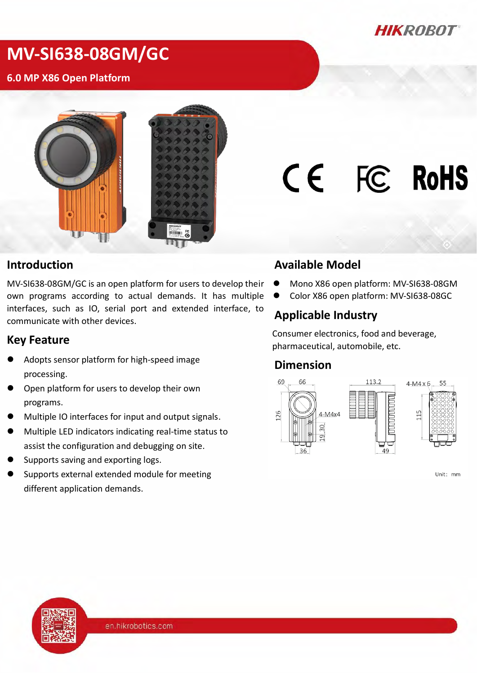*HIKROBOT* 

# **MV-SI638-08GM/GC**

#### **6.0 MP X86 Open Platform**



# CE FC RoHS

#### **Introduction**

MV-SI638-08GM/GC is an open platform for users to develop their own programs according to actual demands. It has multiple interfaces, such as IO, serial port and extended interface, to communicate with other devices.

#### **Key Feature**

- Adopts sensor platform for high-speed image processing.
- Open platform for users to develop their own programs.
- Multiple IO interfaces for input and output signals.
- Multiple LED indicators indicating real-time status to assist the configuration and debugging on site.
- Supports saving and exporting logs.
- Supports external extended module for meeting different application demands.

#### **Available Model**

- Mono X86 open platform: MV-SI638-08GM
- Color X86 open platform: MV-SI638-08GC

#### **Applicable Industry**

Consumer electronics, food and beverage, pharmaceutical, automobile, etc.

#### **Dimension**



Unit: mm